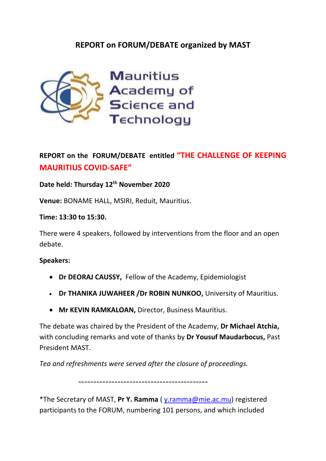## **REPORT on FORUM/DEBATE organized by MAST**



# **REPORT on the FORUM/DEBATE entitled "THE CHALLENGE OF KEEPING MAURITIUS COVID-SAFE"**

### **Date held: Thursday 12th November 2020**

**Venue:** BONAME HALL, MSIRI, Reduit, Mauritius.

#### **Time: 13:30 to 15:30.**

There were 4 speakers, followed by interventions from the floor and an open debate.

#### **Speakers:**

- **Dr DEORAJ CAUSSY,** Fellow of the Academy, Epidemiologist
- **Dr THANIKA JUWAHEER /Dr ROBIN NUNKOO,** University of Mauritius.
- **Mr [KEVIN RAMKALOAN,](mailto:k.ramkaloan@businessmauritius.org)** Director, Business Mauritius.

The debate was chaired by the President of the Academy, **Dr Michael Atchia,** with concluding remarks and vote of thanks by **Dr Yousuf Maudarbocus,** Past President MAST.

*Tea and refreshments were served after the closure of proceedings.*

-------------------------------------------

\*The Secretary of MAST, **Pr Y. Ramma** ( [y.ramma@mie.ac.mu\)](mailto:y.ramma@mie.ac.mu) registered participants to the FORUM, numbering 101 persons, and which included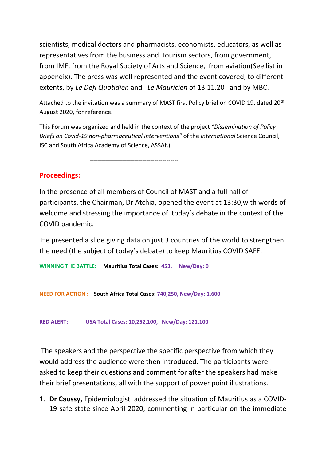scientists, medical doctors and pharmacists, economists, educators, as well as representatives from the business and tourism sectors, from government, from IMF, from the Royal Society of Arts and Science, from aviation(See list in appendix). The press was well represented and the event covered, to different extents, by *Le Defi Quotidien* and *Le Mauricien* of 13.11.20 and by MBC.

Attached to the invitation was a summary of MAST first Policy brief on COVID 19, dated 20<sup>th</sup> August 2020, for reference.

This Forum was organized and held in the context of the project *"Dissemination of Policy Briefs on Covid-19 non-pharmaceutical interventions"* of the *International* Science Council, ISC and South Africa Academy of Science, ASSAf.)

--------------------------------------------

#### **Proceedings:**

In the presence of all members of Council of MAST and a full hall of participants, the Chairman, Dr Atchia, opened the event at 13:30,with words of welcome and stressing the importance of today's debate in the context of the COVID pandemic.

He presented a slide giving data on just 3 countries of the world to strengthen the need (the subject of today's debate) to keep Mauritius COVID SAFE.

**WINNING THE BATTLE: Mauritius Total Cases: 453, New/Day: 0**

**NEED FOR ACTION : South Africa Total Cases: 740,250, New/Day: 1,600**

**RED ALERT: USA Total Cases: 10,252,100, New/Day: 121,100** 

The speakers and the perspective the specific perspective from which they would address the audience were then introduced. The participants were asked to keep their questions and comment for after the speakers had make their brief presentations, all with the support of power point illustrations.

1. **Dr Caussy,** Epidemiologist addressed the situation of Mauritius as a COVID-19 safe state since April 2020, commenting in particular on the immediate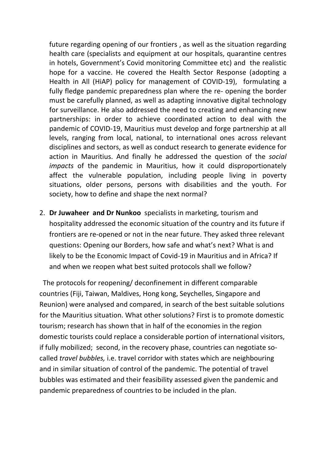future regarding opening of our frontiers , as well as the situation regarding health care (specialists and equipment at our hospitals, quarantine centres in hotels, Government's Covid monitoring Committee etc) and the realistic hope for a vaccine. He covered the Health Sector Response (adopting a Health in All (HiAP) policy for management of COVID-19), formulating a fully fledge pandemic preparedness plan where the re- opening the border must be carefully planned, as well as adapting innovative digital technology for surveillance. He also addressed the need to creating and enhancing new partnerships: in order to achieve coordinated action to deal with the pandemic of COVID-19, Mauritius must develop and forge partnership at all levels, ranging from local, national, to international ones across relevant disciplines and sectors, as well as conduct research to generate evidence for action in Mauritius. And finally he addressed the question of the *social impacts* of the pandemic in Mauritius, how it could disproportionately affect the vulnerable population, including people living in poverty situations, older persons, persons with disabilities and the youth. For society, how to define and shape the next normal?

2. **Dr Juwaheer and Dr Nunkoo** specialists in marketing, tourism and hospitality addressed the economic situation of the country and its future if frontiers are re-opened or not in the near future. They asked three relevant questions: Opening our Borders, how safe and what's next? What is and likely to be the Economic Impact of Covid-19 in Mauritius and in Africa? If and when we reopen what best suited protocols shall we follow?

 The protocols for reopening/ deconfinement in different comparable countries (Fiji, Taiwan, Maldives, Hong kong, Seychelles, Singapore and Reunion) were analysed and compared, in search of the best suitable solutions for the Mauritius situation. What other solutions? First is to promote domestic tourism; research has shown that in half of the economies in the region domestic tourists could replace a considerable portion of international visitors, if fully mobilized; second, in the recovery phase, countries can negotiate socalled *travel bubbles,* i.e. travel corridor with states which are neighbouring and in similar situation of control of the pandemic. The potential of travel bubbles was estimated and their feasibility assessed given the pandemic and pandemic preparedness of countries to be included in the plan.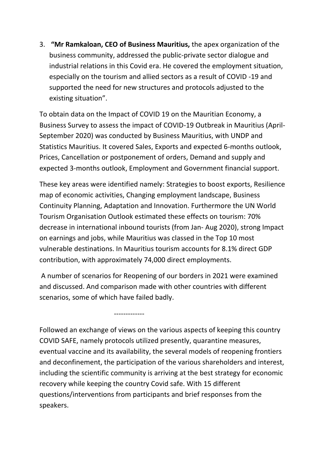3. **"Mr [Ramkaloan,](mailto:k.ramkaloan@businessmauritius.org) CEO of Business Mauritius,** the apex organization of the business community, addressed the public-private sector dialogue and industrial relations in this Covid era. He covered the employment situation, especially on the tourism and allied sectors as a result of COVID -19 and supported the need for new structures and protocols adjusted to the existing situation".

To obtain data on the Impact of COVID 19 on the Mauritian Economy, a Business Survey to assess the impact of COVID-19 Outbreak in Mauritius (April-September 2020) was conducted by Business Mauritius, with UNDP and Statistics Mauritius. It covered Sales, Exports and expected 6-months outlook, Prices, Cancellation or postponement of orders, Demand and supply and expected 3-months outlook, Employment and Government financial support.

These key areas were identified namely: Strategies to boost exports, Resilience map of economic activities, Changing employment landscape, Business Continuity Planning, Adaptation and Innovation. Furthermore the UN World Tourism Organisation Outlook estimated these effects on tourism: 70% decrease in international inbound tourists (from Jan- Aug 2020), strong Impact on earnings and jobs, while Mauritius was classed in the Top 10 most vulnerable destinations. In Mauritius tourism accounts for 8.1% direct GDP contribution, with approximately 74,000 direct employments.

A number of scenarios for Reopening of our borders in 2021 were examined and discussed. And comparison made with other countries with different scenarios, some of which have failed badly.

-------------

Followed an exchange of views on the various aspects of keeping this country COVID SAFE, namely protocols utilized presently, quarantine measures, eventual vaccine and its availability, the several models of reopening frontiers and deconfinement, the participation of the various shareholders and interest, including the scientific community is arriving at the best strategy for economic recovery while keeping the country Covid safe. With 15 different questions/interventions from participants and brief responses from the speakers.